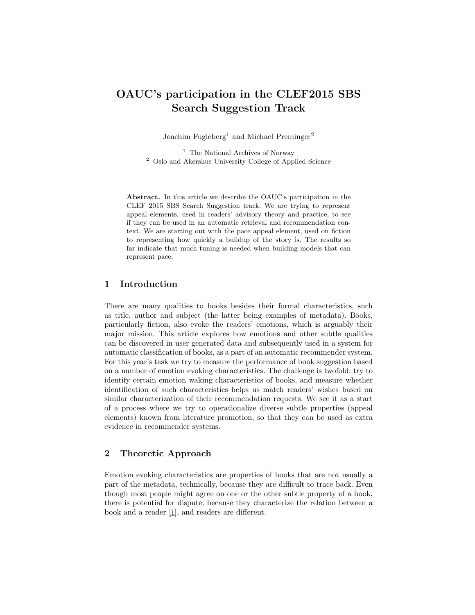# OAUC's participation in the CLEF2015 SBS Search Suggestion Track

Joachim Fugleberg<sup>1</sup> and Michael Preminger<sup>2</sup>

<sup>1</sup> The National Archives of Norway <sup>2</sup> Oslo and Akershus University College of Applied Science

Abstract. In this article we describe the OAUC's participation in the CLEF 2015 SBS Search Suggestion track. We are trying to represent appeal elements, used in readers' advisory theory and practice, to see if they can be used in an automatic retrieval and recommendation context. We are starting out with the pace appeal element, used on fiction to representing how quickly a buildup of the story is. The results so far indicate that much tuning is needed when building models that can represent pace.

## 1 Introduction

There are many qualities to books besides their formal characteristics, such as title, author and subject (the latter being examples of metadata). Books, particularly fiction, also evoke the readers' emotions, which is arguably their major mission. This article explores how emotions and other subtle qualities can be discovered in user generated data and subsequently used in a system for automatic classification of books, as a part of an automatic recommender system. For this year's task we try to measure the performance of book suggestion based on a number of emotion evoking characteristics. The challenge is twofold: try to identify certain emotion waking characteristics of books, and measure whether identification of such characteristics helps us match readers' wishes based on similar characterization of their recommendation requests. We see it as a start of a process where we try to operationalize diverse subtle properties (appeal elements) known from literature promotion, so that they can be used as extra evidence in recommender systems.

## 2 Theoretic Approach

Emotion evoking characteristics are properties of books that are not usually a part of the metadata, technically, because they are difficult to trace back. Even though most people might agree on one or the other subtle property of a book, there is potential for dispute, because they characterize the relation between a book and a reader [\[1\]](#page-6-0), and readers are different.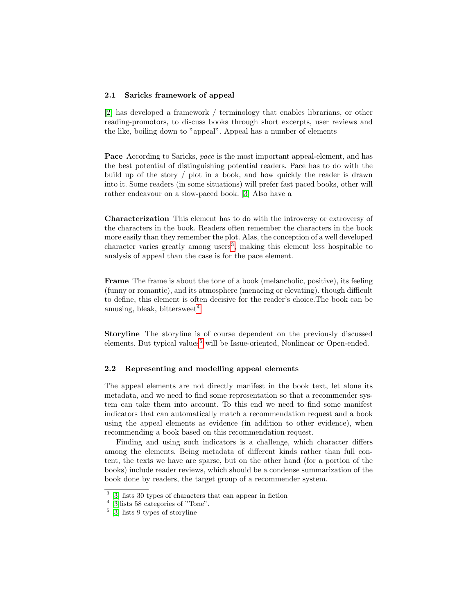#### 2.1 Saricks framework of appeal

[\[2\]](#page-6-1) has developed a framework / terminology that enables librarians, or other reading-promotors, to discuss books through short excerpts, user reviews and the like, boiling down to "appeal". Appeal has a number of elements

Pace According to Saricks, pace is the most important appeal-element, and has the best potential of distinguishing potential readers. Pace has to do with the build up of the story / plot in a book, and how quickly the reader is drawn into it. Some readers (in some situations) will prefer fast paced books, other will rather endeavour on a slow-paced book. [\[3\]](#page-6-2) Also have a

Characterization This element has to do with the introversy or extroversy of the characters in the book. Readers often remember the characters in the book more easily than they remember the plot. Alas, the conception of a well developed character varies greatly among users<sup>[3](#page-1-0)</sup>, making this element less hospitable to analysis of appeal than the case is for the pace element.

Frame The frame is about the tone of a book (melancholic, positive), its feeling (funny or romantic), and its atmosphere (menacing or elevating). though difficult to define, this element is often decisive for the reader's choice.The book can be amusing, bleak, bittersweet $<sup>4</sup>$  $<sup>4</sup>$  $<sup>4</sup>$ </sup>

Storyline The storyline is of course dependent on the previously discussed elements. But typical values<sup>[5](#page-1-2)</sup> will be Issue-oriented, Nonlinear or Open-ended.

#### 2.2 Representing and modelling appeal elements

The appeal elements are not directly manifest in the book text, let alone its metadata, and we need to find some representation so that a recommender system can take them into account. To this end we need to find some manifest indicators that can automatically match a recommendation request and a book using the appeal elements as evidence (in addition to other evidence), when recommending a book based on this recommendation request.

Finding and using such indicators is a challenge, which character differs among the elements. Being metadata of different kinds rather than full content, the texts we have are sparse, but on the other hand (for a portion of the books) include reader reviews, which should be a condense summarization of the book done by readers, the target group of a recommender system.

<span id="page-1-0"></span><sup>3</sup> [\[3\]](#page-6-2) lists 30 types of characters that can appear in fiction

<span id="page-1-1"></span><sup>&</sup>lt;sup>4</sup> [\[3\]](#page-6-2) lists 58 categories of "Tone".

<span id="page-1-2"></span><sup>5</sup> [\[3\]](#page-6-2) lists 9 types of storyline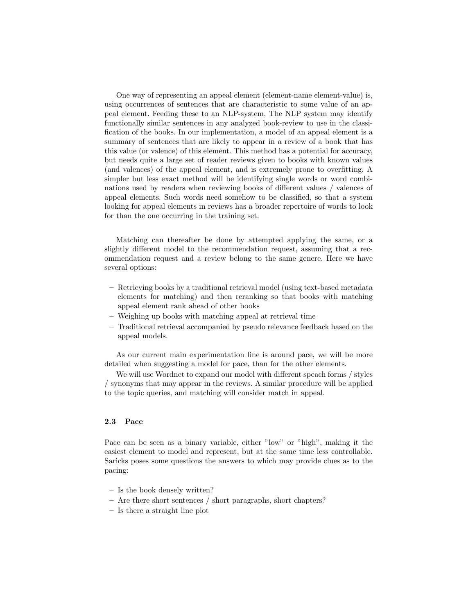One way of representing an appeal element (element-name element-value) is, using occurrences of sentences that are characteristic to some value of an appeal element. Feeding these to an NLP-system, The NLP system may identify functionally similar sentences in any analyzed book-review to use in the classification of the books. In our implementation, a model of an appeal element is a summary of sentences that are likely to appear in a review of a book that has this value (or valence) of this element. This method has a potential for accuracy, but needs quite a large set of reader reviews given to books with known values (and valences) of the appeal element, and is extremely prone to overfitting. A simpler but less exact method will be identifying single words or word combinations used by readers when reviewing books of different values / valences of appeal elements. Such words need somehow to be classified, so that a system looking for appeal elements in reviews has a broader repertoire of words to look for than the one occurring in the training set.

Matching can thereafter be done by attempted applying the same, or a slightly different model to the recommendation request, assuming that a recommendation request and a review belong to the same genere. Here we have several options:

- Retrieving books by a traditional retrieval model (using text-based metadata elements for matching) and then reranking so that books with matching appeal element rank ahead of other books
- Weighing up books with matching appeal at retrieval time
- Traditional retrieval accompanied by pseudo relevance feedback based on the appeal models.

As our current main experimentation line is around pace, we will be more detailed when suggesting a model for pace, than for the other elements.

We will use Wordnet to expand our model with different speach forms / styles / synonyms that may appear in the reviews. A similar procedure will be applied to the topic queries, and matching will consider match in appeal.

#### 2.3 Pace

Pace can be seen as a binary variable, either "low" or "high", making it the easiest element to model and represent, but at the same time less controllable. Saricks poses some questions the answers to which may provide clues as to the pacing:

- Is the book densely written?
- Are there short sentences / short paragraphs, short chapters?
- Is there a straight line plot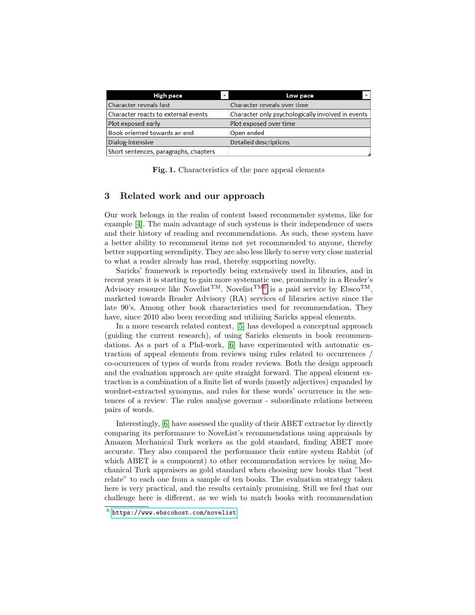| High pace                             | Low pace                                          |
|---------------------------------------|---------------------------------------------------|
| <b>Character reveals fast</b>         | Character reveals over time                       |
| Character reacts to external events   | Character only psychologically involved in events |
| Plot exposed early                    | Plot exposed over time                            |
| Book oriented towards an end          | Open ended                                        |
| Dialog-intensive                      | <b>Detalied descriptions</b>                      |
| Short sentences, paragraphs, chapters |                                                   |

Fig. 1. Characteristics of the pace appeal elements

# 3 Related work and our approach

Our work belongs in the realm of content based recommender systems, like for example [\[4\]](#page-6-3). The main advantage of such systems is their independence of users and their history of reading and recommendations. As such, these system have a better ability to recommend items not yet recommended to anyone, thereby better supporting serendipity. They are also less likely to serve very close material to what a reader already has read, thereby supporting novelty.

Saricks' framework is reportedly being extensively used in libraries, and in recent years it is starting to gain more systematic use, prominently in a Reader's Advisory resource like Novelist<sup>TM</sup>. Novelist<sup>T[M6](#page-3-0)</sup> is a paid service by  $\text{Ebsco}^{\text{TM}}$ , marketed towards Reader Advisory (RA) services of libraries active since the late 90's. Among other book characteristics used for recommendation, They have, since 2010 also been recording and utilizing Saricks appeal elements.

In a more research related context, [\[5\]](#page-6-4) has developed a conceptual approach (guiding the current research), of using Saricks elements in book recommendations. As a part of a Phd-work, [\[6\]](#page-6-5) have experimented with automatic extraction of appeal elements from reviews using rules related to occurrences / co-ocurrences of types of words from reader reviews. Both the design approach and the evaluation approach are quite straight forward. The appeal element extraction is a combination of a finite list of words (mostly adjectives) expanded by wordnet-extracted synonyms, and rules for these words' occurrence in the sentences of a review. The rules analyse governor - subordinate relations between pairs of words.

Interestingly, [\[6\]](#page-6-5) have assessed the quality of their ABET extractor by directly comparing its performance to NoveList's recommendations using appraisals by Amazon Mechanical Turk workers as the gold standard, finding ABET more accurate. They also compared the performance their entire system Rabbit (of which ABET is a component) to other recommendation services by using Mechanical Turk appraisers as gold standard when choosing new books that "best relate" to each one from a sample of ten books. The evaluation strategy taken here is very practical, and the results certainly promising. Still we feel that our challenge here is different, as we wish to match books with recommendation

<span id="page-3-0"></span> $^6$  <https://www.ebscohost.com/novelist>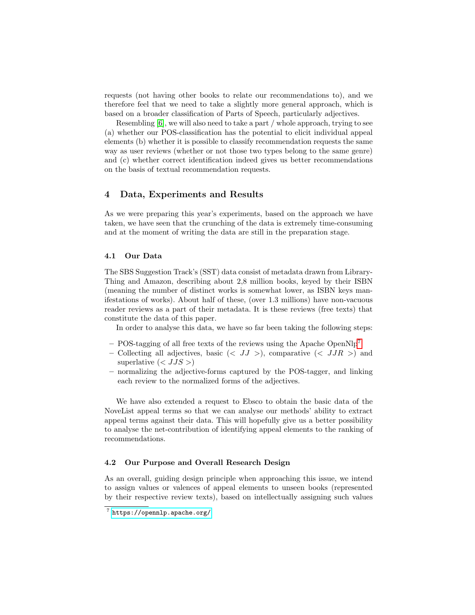requests (not having other books to relate our recommendations to), and we therefore feel that we need to take a slightly more general approach, which is based on a broader classification of Parts of Speech, particularly adjectives.

Resembling [\[6\]](#page-6-5), we will also need to take a part / whole approach, trying to see (a) whether our POS-classification has the potential to elicit individual appeal elements (b) whether it is possible to classify recommendation requests the same way as user reviews (whether or not those two types belong to the same genre) and (c) whether correct identification indeed gives us better recommendations on the basis of textual recommendation requests.

## 4 Data, Experiments and Results

As we were preparing this year's experiments, based on the approach we have taken, we have seen that the crunching of the data is extremely time-consuming and at the moment of writing the data are still in the preparation stage.

#### 4.1 Our Data

The SBS Suggestion Track's (SST) data consist of metadata drawn from Library-Thing and Amazon, describing about 2,8 million books, keyed by their ISBN (meaning the number of distinct works is somewhat lower, as ISBN keys manifestations of works). About half of these, (over 1.3 millions) have non-vacuous reader reviews as a part of their metadata. It is these reviews (free texts) that constitute the data of this paper.

In order to analyse this data, we have so far been taking the following steps:

- POS-tagging of all free texts of the reviews using the Apache OpenNlp<sup>[7](#page-4-0)</sup>
- Collecting all adjectives, basic  $\left(\langle JJ \rangle \right)$ , comparative  $\left(\langle JJR \rangle \right)$  and superlative  $\left(\right)$
- normalizing the adjective-forms captured by the POS-tagger, and linking each review to the normalized forms of the adjectives.

We have also extended a request to Ebsco to obtain the basic data of the NoveList appeal terms so that we can analyse our methods' ability to extract appeal terms against their data. This will hopefully give us a better possibility to analyse the net-contribution of identifying appeal elements to the ranking of recommendations.

#### 4.2 Our Purpose and Overall Research Design

As an overall, guiding design principle when approaching this issue, we intend to assign values or valences of appeal elements to unseen books (represented by their respective review texts), based on intellectually assigning such values

<span id="page-4-0"></span><sup>7</sup> <https://opennlp.apache.org/>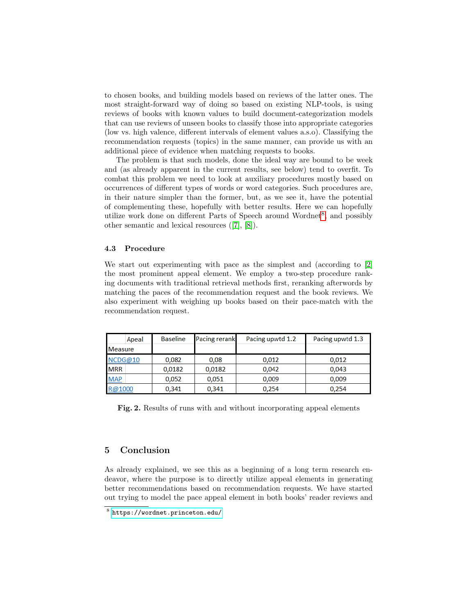to chosen books, and building models based on reviews of the latter ones. The most straight-forward way of doing so based on existing NLP-tools, is using reviews of books with known values to build document-categorization models that can use reviews of unseen books to classify those into appropriate categories (low vs. high valence, different intervals of element values a.s.o). Classifying the recommendation requests (topics) in the same manner, can provide us with an additional piece of evidence when matching requests to books.

The problem is that such models, done the ideal way are bound to be week and (as already apparent in the current results, see below) tend to overfit. To combat this problem we need to look at auxiliary procedures mostly based on occurrences of different types of words or word categories. Such procedures are, in their nature simpler than the former, but, as we see it, have the potential of complementing these, hopefully with better results. Here we can hopefully utilize work done on different Parts of Speech around Wordnet<sup>[8](#page-5-0)</sup>, and possibly other semantic and lexical resources ([\[7\]](#page-6-6), [\[8\]](#page-6-7)).

#### 4.3 Procedure

We start out experimenting with pace as the simplest and (according to [\[2\]](#page-6-1) the most prominent appeal element. We employ a two-step procedure ranking documents with traditional retrieval methods first, reranking afterwords by matching the paces of the recommendation request and the book reviews. We also experiment with weighing up books based on their pace-match with the recommendation request.

| Apeal          | <b>Baseline</b> | <b>Pacing rerank</b> | Pacing upwtd 1.2 | Pacing upwtd 1.3 |
|----------------|-----------------|----------------------|------------------|------------------|
| <b>Measure</b> |                 |                      |                  |                  |
| NCDG@10        | 0.082           | 0.08                 | 0.012            | 0.012            |
| <b>MRR</b>     | 0.0182          | 0,0182               | 0.042            | 0.043            |
| <b>MAP</b>     | 0,052           | 0,051                | 0,009            | 0,009            |
| R@1000         | 0.341           | 0,341                | 0.254            | 0.254            |

Fig. 2. Results of runs with and without incorporating appeal elements

## 5 Conclusion

As already explained, we see this as a beginning of a long term research endeavor, where the purpose is to directly utilize appeal elements in generating better recommendations based on recommendation requests. We have started out trying to model the pace appeal element in both books' reader reviews and

<span id="page-5-0"></span><sup>8</sup> <https://wordnet.princeton.edu/>